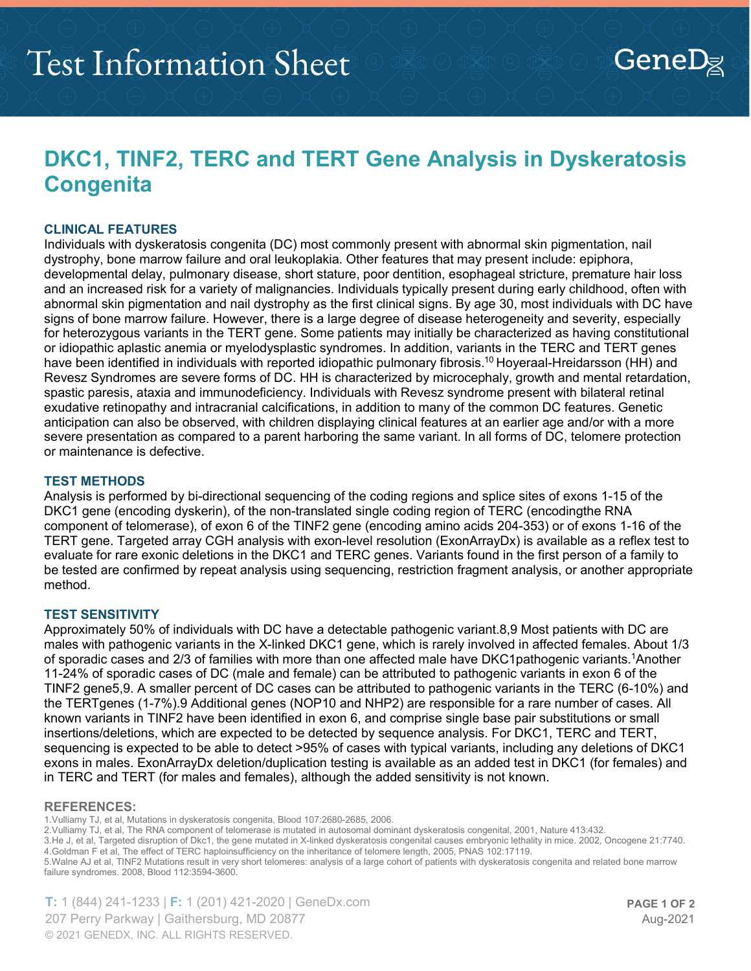## **DKC1, TINF2, TERC and TERT Gene Analysis in Dyskeratosis Congenita**

### **CLINICAL FEATURES**

Individuals with dyskeratosis congenita (DC) most commonly present with abnormal skin pigmentation, nail dystrophy, bone marrow failure and oral leukoplakia. Other features that may present include: epiphora, developmental delay, pulmonary disease, short stature, poor dentition, esophageal stricture, premature hair loss and an increased risk for a variety of malignancies. Individuals typically present during early childhood, often with abnormal skin pigmentation and nail dystrophy as the first clinical signs. By age 30, most individuals with DC have signs of bone marrow failure. However, there is a large degree of disease heterogeneity and severity, especially for heterozygous variants in the TERT gene. Some patients may initially be characterized as having constitutional or idiopathic aplastic anemia or myelodysplastic syndromes. In addition, variants in the TERC and TERT genes have been identified in individuals with reported idiopathic pulmonary fibrosis.<sup>10</sup> Hoyeraal-Hreidarsson (HH) and Revesz Syndromes are severe forms of DC. HH is characterized by microcephaly, growth and mental retardation, spastic paresis, ataxia and immunodeficiency. Individuals with Revesz syndrome present with bilateral retinal exudative retinopathy and intracranial calcifications, in addition to many of the common DC features. Genetic anticipation can also be observed, with children displaying clinical features at an earlier age and/or with a more severe presentation as compared to a parent harboring the same variant. In all forms of DC, telomere protection or maintenance is defective.

### **TEST METHODS**

Analysis is performed by bi-directional sequencing of the coding regions and splice sites of exons 1-15 of the DKC1 gene (encoding dyskerin), of the non-translated single coding region of TERC (encodingthe RNA component of telomerase), of exon 6 of the TINF2 gene (encoding amino acids 204-353) or of exons 1-16 of the TERT gene. Targeted array CGH analysis with exon-level resolution (ExonArrayDx) is available as a reflex test to evaluate for rare exonic deletions in the DKC1 and TERC genes. Variants found in the first person of a family to be tested are confirmed by repeat analysis using sequencing, restriction fragment analysis, or another appropriate method.

#### **TEST SENSITIVITY**

Approximately 50% of individuals with DC have a detectable pathogenic variant.8,9 Most patients with DC are males with pathogenic variants in the X-linked DKC1 gene, which is rarely involved in affected females. About 1/3 of sporadic cases and 2/3 of families with more than one affected male have DKC1pathogenic variants.1Another 11-24% of sporadic cases of DC (male and female) can be attributed to pathogenic variants in exon 6 of the TINF2 gene5,9. A smaller percent of DC cases can be attributed to pathogenic variants in the TERC (6-10%) and the TERTgenes (1-7%).9 Additional genes (NOP10 and NHP2) are responsible for a rare number of cases. All known variants in TINF2 have been identified in exon 6, and comprise single base pair substitutions or small insertions/deletions, which are expected to be detected by sequence analysis. For DKC1, TERC and TERT, sequencing is expected to be able to detect >95% of cases with typical variants, including any deletions of DKC1 exons in males. ExonArrayDx deletion/duplication testing is available as an added test in DKC1 (for females) and in TERC and TERT (for males and females), although the added sensitivity is not known.

#### **REFERENCES:**

1.Vulliamy TJ, et al, Mutations in dyskeratosis congenita, Blood 107:2680-2685, 2006.

2.Vulliamy TJ, et al, The RNA component of telomerase is mutated in autosomal dominant dyskeratosis congenital, 2001, Nature 413:432.

3.He J, et al, Targeted disruption of Dkc1, the gene mutated in X-linked dyskeratosis congenital causes embryonic lethality in mice. 2002, Oncogene 21:7740. 4.Goldman F et al, The effect of TERC haploinsufficiency on the inheritance of telomere length, 2005, PNAS 102:17119.

5.Walne AJ et al, TINF2 Mutations result in very short telomeres: analysis of a large cohort of patients with dyskeratosis congenita and related bone marrow failure syndromes. 2008, Blood 112:3594-3600.

**T:** 1 (844) 241-1233 | **F:** 1 (201) 421-2020 | GeneDx.com 207 Perry Parkway | Gaithersburg, MD 20877 © 2021 GENEDX, INC. ALL RIGHTS RESERVED.

 $GeneD_{\not\Xi}$